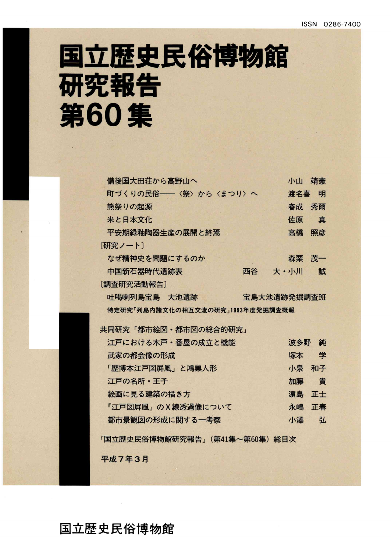# 国立歴史民俗博物館 研究報告 第60集

| 備後国大田荘から高野山へ                     |             | 小山    | 靖憲 |
|----------------------------------|-------------|-------|----|
| 町づくりの民俗――〈祭〉から〈まつり〉へ             |             | 渡名喜   | 明  |
| 熊祭りの起源                           |             | 春成    | 秀爾 |
| 米と日本文化                           |             | 佐原    | 真  |
| 平安期緑釉陶器生産の展開と終焉                  |             | 高橋 照彦 |    |
| 「研究ノート」                          |             |       |    |
| なぜ精神史を問題にするのか                    |             | 森栗    | 茂一 |
| 中国新石器時代遺跡表                       | 西谷          | 大・小川  | 誠  |
| 〔調査研究活動報告〕                       |             |       |    |
| 吐喝喇列島宝島 大池遺跡                     | 宝島大池遺跡発掘調査班 |       |    |
| 特定研究「列島内諸文化の相互交流の研究」1993年度発掘調査概報 |             |       |    |
|                                  |             |       |    |
| 共同研究「都市絵図・都市図の総合的研究」             |             |       |    |
| 江戸における木戸・番屋の成立と機能                |             | 波多野   | 純  |
| 武家の都会像の形成                        |             | 塚本    | 学  |
| 「歴博本江戸図屛風」と鴻巣人形                  |             | 小泉 和子 |    |
| 江戸の名所・王子                         |             | 加藤    | 貴  |
| 絵画に見る建築の描き方                      |             | 濵島    | 正士 |
| 『江戸図屛風』のX線透過像について                |             | 永嶋    | 正春 |
| 都市景観図の形成に関する一考察                  |             | 小澤    | 弘  |
| 『国立歴史民俗博物館研究報告』(第41集~第60集) 総目次   |             |       |    |

国立歴史民俗博物館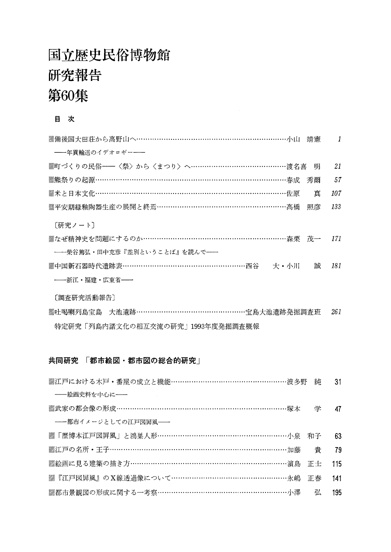## 国立歴史民俗博物館 研究報告 第60集

#### 目 次

| <b>▒備後国大田荘から高野山へ…………………………………………………………小山 靖憲  Ⅰ</b> |    |     |
|----------------------------------------------------|----|-----|
| ----年貢輸送のイデオロギー--                                  |    |     |
| ▒町づくりの民俗──〈祭〉から〈まつり〉へ……………………………………渡名喜 明           |    | 21  |
| ▒熊祭りの起源……………………………………………………………………………………春成          | 秀爾 | 57  |
| ▒米と日本文化………………………………………………………………………佐原               | 真  | 107 |
| ▒平安期緑釉陶器生産の展開と終焉………………………………………………高橋 照彦            |    | 133 |
| 「研究ノート]                                            |    |     |
| ▒なぜ精神史を問題にするのか…………………………………………………………森栗 茂一  171     |    |     |
| ――柴谷篤弘・田中克彦『差別ということば』を読んで――                        |    |     |
| ▒中国新石器時代遺跡表………………………………………………西谷  大・小川              | 誠  | 181 |
| ――浙江・福建・広東省――                                      |    |     |
| [調査研究活動報告]                                         |    |     |
| ▒吐喝喇列島宝島 大池遺跡…………………………………………宝島大池遺跡発掘調査班           |    | 261 |

特定研究「列島内諸文化の相互交流の研究」1993年度発掘調査概報

### 共同研究 「都市絵図・都市図の総合的研究」

| ――絵画史料を中心に――                                     |       |
|--------------------------------------------------|-------|
| ▒武家の都会像の形成…………………………………………………………………………………塚本 学 47 |       |
| ---都市イメージとしての江戸図屏風--                             |       |
| ▒「歴博本江戸図屛風」と鴻巣人形…………………………………………………小泉 和子         | - 63  |
| ▒江戸の名所・王子………………………………………………………………………加藤──貴        | 79    |
| ▒絵画に見る建築の描き方………………………………………………………………濵島 正士        | - 115 |
|                                                  | 141   |
| ▒都市景観図の形成に関する一考察………………………………………………小澤──弘          | 195   |
|                                                  |       |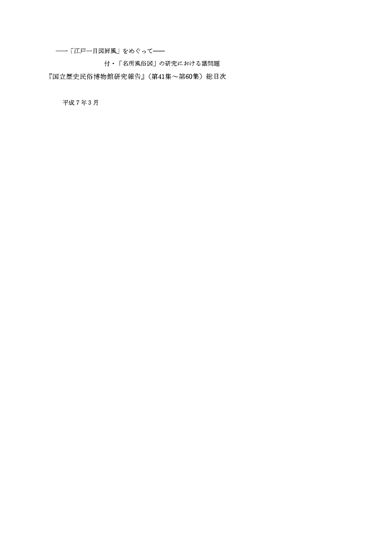一「江戸一目図屏風」をめぐって一

付・「名所風俗図」の研究における諸問題

『国立歴史民俗博物館研究報告』(第41集~第60集)総目次

平成7年3月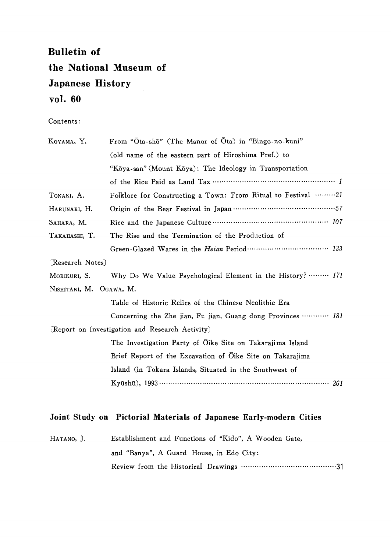## Bulletin of the National Museum of Japanese History vol.60

Contents:

| KOYAMA, Y.              | From "Ota-shō" (The Manor of Ota) in "Bingo-no-kuni"                                                                                              |  |
|-------------------------|---------------------------------------------------------------------------------------------------------------------------------------------------|--|
|                         | (old name of the eastern part of Hiroshima Pref.) to                                                                                              |  |
|                         | "Kōya-san" (Mount Kōya): The Ideology in Transportation                                                                                           |  |
|                         |                                                                                                                                                   |  |
| TONAKI, A.              | Folklore for Constructing a Town: From Ritual to Festival 21                                                                                      |  |
| HARUNARI, H.            |                                                                                                                                                   |  |
| SAHARA, M.              |                                                                                                                                                   |  |
| Таканаѕні, Т.           | The Rise and the Termination of the Production of                                                                                                 |  |
|                         |                                                                                                                                                   |  |
| [Research Notes]        |                                                                                                                                                   |  |
| MORIKURI, S.            | Why Do We Value Psychological Element in the History?  171                                                                                        |  |
| NISHITANI, M. OGAWA, M. |                                                                                                                                                   |  |
|                         | Table of Historic Relics of the Chinese Neolithic Era                                                                                             |  |
|                         | Concerning the Zhe jian, Fu jian, Guang dong Provinces  181                                                                                       |  |
|                         | [Report on Investigation and Research Activity]                                                                                                   |  |
|                         | The Investigation Party of Oike Site on Takarajima Island                                                                                         |  |
|                         | Brief Report of the Excavation of Oike Site on Takarajima                                                                                         |  |
|                         | Island (in Tokara Islands, Situated in the Southwest of                                                                                           |  |
|                         | Kyūshū), 1993 $\cdots$ $\cdots$ $\cdots$ $\cdots$ $\cdots$ $\cdots$ $\cdots$ $\cdots$ $\cdots$ $\cdots$ $\cdots$ $\cdots$ $\cdots$ $\cdots$ $261$ |  |

#### Joint Study on Pictorial Materials of Japanese Early-modern Cities

| HATANO, J. | Establishment and Functions of "Kido", A Wooden Gate, |
|------------|-------------------------------------------------------|
|            | and "Banya", A Guard House, in Edo City:              |
|            |                                                       |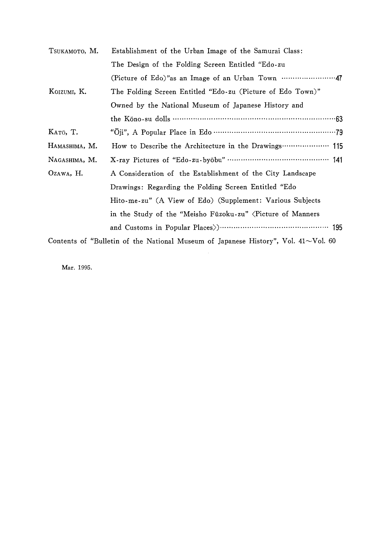| TSUKAMOTO, M. | Establishment of the Urban Image of the Samurai Class:     |  |
|---------------|------------------------------------------------------------|--|
|               | The Design of the Folding Screen Entitled "Edo-zu          |  |
|               |                                                            |  |
| KOIZUMI, K.   | The Folding Screen Entitled "Edo-zu (Picture of Edo Town)" |  |
|               | Owned by the National Museum of Japanese History and       |  |
|               |                                                            |  |
| KATO, T.      |                                                            |  |
| HAMASHIMA, M. | How to Describe the Architecture in the Drawings  115      |  |
| NAGASHIMA, M. |                                                            |  |
| OZAWA, H.     | A Consideration of the Establishment of the City Landscape |  |
|               | Drawings: Regarding the Folding Screen Entitled "Edo       |  |
|               | Hito-me-zu" (A View of Edo) (Supplement: Various Subjects  |  |
|               | in the Study of the "Meisho Fūzoku-zu" (Picture of Manners |  |
|               |                                                            |  |
|               |                                                            |  |

Contents of "Bulletin of the National Museum of Japanese History", Vol.  $41 \sim$ Vol.

Mar.1995.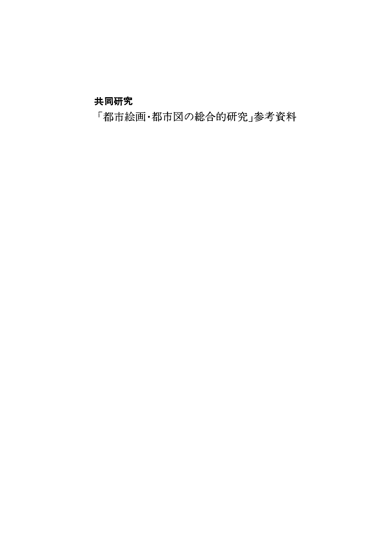### 共同研究

「都市絵画・都市図の総合的研究」参考資料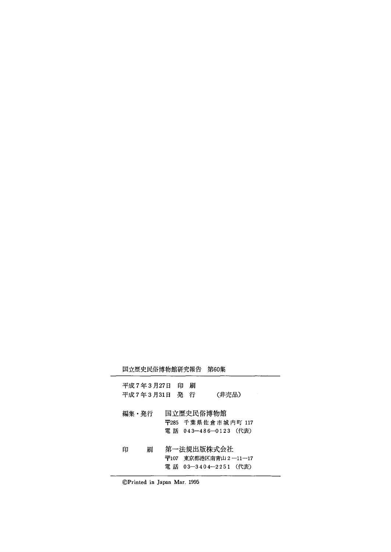|   | 第60集                                                                               |
|---|------------------------------------------------------------------------------------|
| 刷 | (非売品)                                                                              |
|   | 〒285 千葉県佐倉市城内町 117<br>電話 043-486-0123 (代表)                                         |
|   | 〒107 東京都港区南青山 2-11-17<br>電 話 03―3404―2251 (代表)                                     |
|   | 国立歴史民俗博物館研究報告<br>平成 7 年 3 月27日 日<br>平成 7 年 3 月 31 日 発 行<br>国立歴史民俗博物館<br>第一法規出版株式会社 |

⑥Printed in Japan Mar,1995